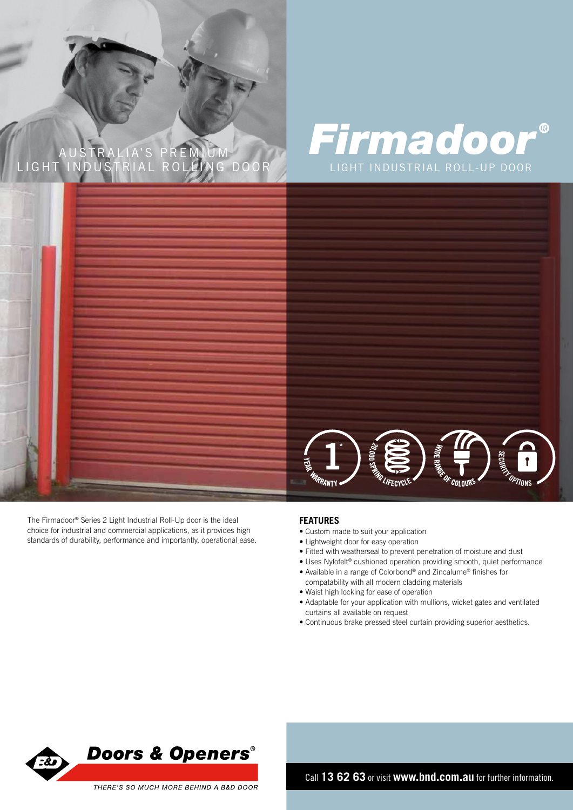# AUSTRALIA'S PREMIUM GHT INDUSTRIAL ROLLING DOOR LIGHT INDUSTRIAL ROLL-UP DOOR

# *Firmadoor ®*



The Firmadoor® Series 2 Light Industrial Roll-Up door is the ideal choice for industrial and commercial applications, as it provides high standards of durability, performance and importantly, operational ease.

#### **FEATURES**

- Custom made to suit your application
- Lightweight door for easy operation
- Fitted with weatherseal to prevent penetration of moisture and dust
- Uses Nylofelt® cushioned operation providing smooth, quiet performance
- Available in a range of Colorbond® and Zincalume® finishes for compatability with all modern cladding materials
- Waist high locking for ease of operation
- Adaptable for your application with mullions, wicket gates and ventilated curtains all available on request
- Continuous brake pressed steel curtain providing superior aesthetics.



Call **13 62 63** or visit **www.bnd.com.au** for further information.